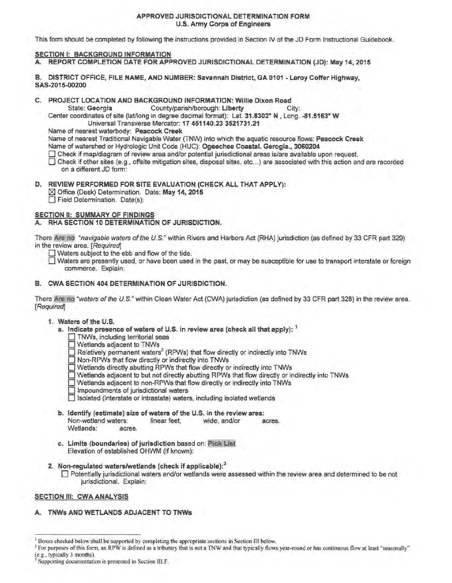### APPROVED JURISDICTIONAL DETERMINATION FORM U.S. Army Corps of Engineers

This form should be completed by following the instructions provided in Section IV of the JD Form Instructional Guidebook.

### SECTION I: BACKGROUND INFORMATION

A. REPORT COMPLETION DATE FOR APPROVED JURISDICTIONAL DETERMINATION (JD): May 14, 2015

B. DISTRICT OFFICE, FILE NAME, AND NUMBER: Savannah District, GA 0101 - Leroy Coffer Highway, SAS-2015-00200

C. PROJECT LOCATION AND BACKGROUND INFORMATION: Willie Dixon Road<br>State: Georgia County/parish/borough: Liberty

County/parish/borough: Liberty City:

Center coordinates of site (lat/long in degree decimal fonmat): Lat. 31.8302° N , Long. -81.5163° W

Universal Transverse Mercator: 17 451140.23 3521731.21

Name of nearest waterbody: Peacock Creek

Name of nearest Traditional Navigable Water (TNW) into which the aquatic resource flows: Peacock Creek

Name of watershed or Hydrologic Unit Code (HUC): Ogeechee Coastal. Gerogia., 3060204

 $\Box$  Check if map/diagram of review area and/or potential jurisdictional areas is/are available upon request.

0 Check ifother sites (e.g .. offsite mitigation sites, disposal sites, etc ... ) are associated with this action and are recorded on a different JD form:

D. REVIEW PERFORMED FOR SITE EVALUATION (CHECK ALL THAT APPLY): ■ Office (Desk) Determination. Date: May 14, 2015 **D** Field Determination. Date(s):

## SECTION II: SUMMARY OF FINDINGS

## A. RHA SECTION 10 DETERMINATION OF JURISDICTION.

There Are no "navigable waters ofthe U.S." within Rivers and Harbors Act (RHA) jurisdiction (as defined by 33 CFR part 329) in the review area. [Required]

 $\Box$  Waters subject to the ebb and flow of the tide.

0 Waters are presently used, or have been used in the past, or may be susceptible for use to transport interstate or foreign commerce. Explain:

### B. CWA SECTION 404 DETERMINATION OF JURISDICTION.

There Are no "waters of the U.S." within Clean Water Act (CWA) jurisdiction (as defined by 33 CFR part 328) in the review area. [Required]

# 1. Waters of the U.S.

a. Indicate presence of waters of U.S. in review area (check all that apply): <sup>1</sup>

 $\Box$  TNWs, including territorial seas

O Wetlands adjacent to TNWs

 $\Box$  Relatively permanent waters<sup>2</sup> (RPWs) that flow directly or indirectly into TNWs

- 0 Non-RPWs that flow directly or indirectly into TNWs
- $\Box$  Wetlands directly abutting RPWs that flow directly or indirectly into TNWs
- $\Box$  Wetlands adjacent to but not directly abutting RPWs that flow directly or indirectly into TNWs
- $\Box$  Wetlands adjacent to non-RPWs that flow directly or indirectly into TNWs
- $\Box$  Impoundments of jurisdictional waters
- $\Box$  Isolated (interstate or intrastate) waters, including isolated wetlands
- b. Identify (estimate) size of waters of the U.S. in the review area:<br>Non-wetland waters: linear feet, wide, and/or a Non-wetland waters: linear feet, wide, and/or acres. Wetlands: acres.
- c. Limits (boundaries) of jurisdiction based on: Pick List Elevation of established OHWM (if known):
- 2. Non-regulated waters/wetlands (check if applicable):<sup>3</sup>

 $\Box$  Potentially jurisdictional waters and/or wetlands were assessed within the review area and determined to be not jurisdictional. Explain:

## SECTION III: CWA ANALYSIS

## A. TNWs AND WETLANDS ADJACENT TO TNWs

<sup>2</sup> For purposes of this form, an RPW is defined as a tributary that is not a TNW and that typically flows year-round or has continuous flow at least "seasonally" (e.g., typically 3 months).

<sup>&</sup>lt;sup>1</sup> Boxes checked below shall be supported by completing the appropriate sections in Section III below.

Supporting documentation is presented in Section III.F.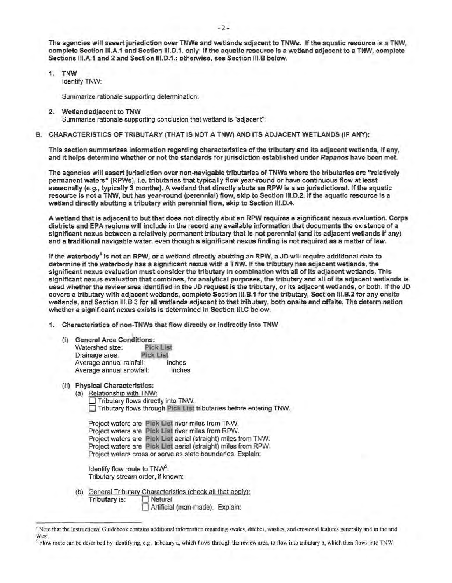The agencies will assert jurisdiction over TNWs and wetlands adjacent to TNWs. If the aquatic resource is a TNW, complete Section 111.A.1 and Section 111.D.1. only; if the aquatic resource is a wetland adjacent to a TNW, complete Sections III.A.1 and 2 and Section III.D.1.; otherwise, see Section III.B below.

1. TNW

Identify TNW:

Summarize rationale supporting determination:

- 2. Wetland adjacent to TNW Summarize rationale supporting conclusion that wetland is "adjacent":
- B. CHARACTERISTICS OF TRIBUTARY (THAT IS NOT A TNW) AND ITS ADJACENT WETLANDS (IF ANY):

This section summarizes information regarding characteristics of the tributary and its adjacent wetlands, if any, and it helps determine whether or not the standards for jurisdiction established under Rapanos have been met.

The agencies will assert jurisdiction over non-navigable tributaries of TNWs where the tributaries are "relatively permanent waters" (RPWs}, i.e. tributaries that typically flow year-round or have continuous flow at least seasonally (e.g., typically 3 months). A wetland that directly abuts an RPW is also jurisdictional. If the aquatic resource is not a TNW, but has year-round (perennial) flow, skip to Section 111.D.2. If the aquatic resource is a wetland directly abutting a tributary with perennial flow, skip to Section 111.D.4.

A wetland that is adjacent to but that does not directly abut an RPW requires a significant nexus evaluation. Corps districts and EPA regions will include in the record any available information that documents the existence of a significant nexus between a relatively permanent tributary that is not perennial (and its adjacent wetlands if any) and a traditional navigable water, even though a significant nexus finding is not required as a matter of law.

If the waterbody<sup>4</sup> is not an RPW, or a wetland directly abutting an RPW, a JD will require additional data to determine if the waterbody has a significant nexus with a TNW. If the tributary has adjacent wetlands, the significant nexus evaluation must consider the tributary in combination with all of its adjacent wetlands. This significant nexus evaluation that combines, for analytical purposes, the tributary and all of its adjacent wetlands is used whether the review area identified in the JD request is the tributary, or its adjacent wetlands, or both. If the JD covers a tributary with adjacent wetlands, complete Section 111.B.1 for the tributary, Section 111.B.2 for any onsite wetlands, and Section 111.B.3 for all wetlands adjacent to that tributary, both onsite and offsite. The determination whether a significant nexus exists is determined In Section 111.C below.

- 1. Characteristics of non-TNWs that flow directly or indirectly into TNW
	- (i) General Area Conditions: Watershed size: Pick List<br>Drainage area: Pick List Drainage area: Average annual rainfall: Average annual snowfall: inches inches
	- (ii) Physical Characteristics:
		- (a) Relationship with TNW: 0 Tributary flows directly into TNW. 0 Tributary flows through Pick List tributaries before entering TNW.

| Project waters are Pick List river miles from TNW.             |
|----------------------------------------------------------------|
| Project waters are Pick List river miles from RPW.             |
| Project waters are Pick List aerial (straight) miles from TNW. |
| Project waters are Pick List aerial (straight) miles from RPW. |
| Project waters cross or serve as state boundaries. Explain:    |

Identify flow route to TNW<sup>5</sup>: Tributary stream order, if known:

(b) General Tributary Characteristics (check all that apply): Tributary is:  $\Box$  Natural 0 Artificial {man-made}. Explain:

<sup>•</sup>Note that the Instructional Guidebook contains additional infonnation regarding swales, ditches, washes, and erosional features generally and in the arid West.

*<sup>5</sup>* Flow route can be described by identifying, e.g., tributary a, which flows through the review area, to flow into tributary b, which then flows into TNW.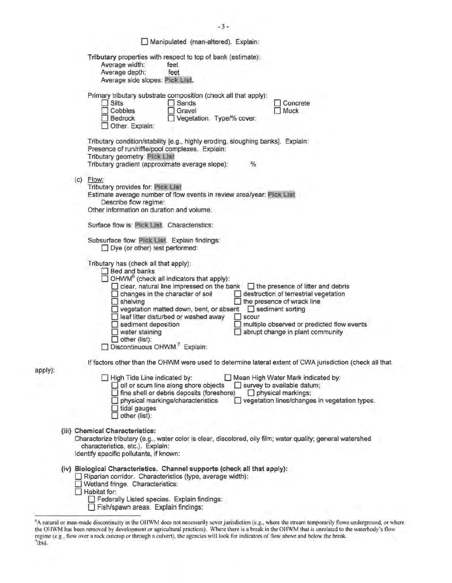|         | Manipulated (man-altered). Explain:                                                                                                                                                                                                                                                                                                                                                                                                                                                                                                                                                                                                                                                                                                                                                     |
|---------|-----------------------------------------------------------------------------------------------------------------------------------------------------------------------------------------------------------------------------------------------------------------------------------------------------------------------------------------------------------------------------------------------------------------------------------------------------------------------------------------------------------------------------------------------------------------------------------------------------------------------------------------------------------------------------------------------------------------------------------------------------------------------------------------|
|         | Tributary properties with respect to top of bank (estimate):<br>Average width:<br>feet<br>Average depth:<br>feet<br>Average side slopes: Pick List.                                                                                                                                                                                                                                                                                                                                                                                                                                                                                                                                                                                                                                     |
|         | Primary tributary substrate composition (check all that apply):<br>$\Box$ Silts<br>Sands<br>Concrete<br>$\Box$ Cobbles<br>Gravel<br>$\Box$ Muck<br>Vegetation. Type/% cover:<br>Bedrock<br>Other. Explain:                                                                                                                                                                                                                                                                                                                                                                                                                                                                                                                                                                              |
|         | Tributary condition/stability [e.g., highly eroding, sloughing banks]. Explain:<br>Presence of run/riffle/pool complexes. Explain:<br>Tributary geometry: Pick List<br>%<br>Tributary gradient (approximate average slope):                                                                                                                                                                                                                                                                                                                                                                                                                                                                                                                                                             |
|         | $(c)$ Flow:<br>Tributary provides for: Pick List<br>Estimate average number of flow events in review area/year: Pick List<br>Describe flow regime:<br>Other information on duration and volume:                                                                                                                                                                                                                                                                                                                                                                                                                                                                                                                                                                                         |
|         | Surface flow is: Pick List. Characteristics:                                                                                                                                                                                                                                                                                                                                                                                                                                                                                                                                                                                                                                                                                                                                            |
|         | Subsurface flow: Pick List. Explain findings:<br>$\Box$ Dye (or other) test performed:                                                                                                                                                                                                                                                                                                                                                                                                                                                                                                                                                                                                                                                                                                  |
|         | Tributary has (check all that apply):<br>Bed and banks<br>$\Box$ OHWM <sup>6</sup> (check all indicators that apply):<br>clear, natural line impressed on the bank<br>$\Box$ the presence of litter and debris<br>destruction of terrestrial vegetation<br>changes in the character of soil<br>$\Box$ shelving<br>$\Box$ the presence of wrack line<br>vegetation matted down, bent, or absent<br>sediment sorting<br>leaf litter disturbed or washed away<br>scour<br>$\Box$ sediment deposition<br>$\Box$ multiple observed or predicted flow events<br>$\Box$ water staining<br>abrupt change in plant community<br>$\Box$ other (list):<br>Discontinuous OHWM. Explain:<br>If factors other than the OHWM were used to determine lateral extent of CWA jurisdiction (check all that |
| apply): | High Tide Line indicated by:<br>Mean High Water Mark indicated by:                                                                                                                                                                                                                                                                                                                                                                                                                                                                                                                                                                                                                                                                                                                      |
|         | oil or scum line along shore objects<br>$\Box$ survey to available datum;<br>fine shell or debris deposits (foreshore)<br>$\Box$ physical markings;<br>physical markings/characteristics<br>vegetation lines/changes in vegetation types.<br>$\Box$ tidal gauges<br>other (list):                                                                                                                                                                                                                                                                                                                                                                                                                                                                                                       |
|         | (iii) Chemical Characteristics:<br>Characterize tributary (e.g., water color is clear, discolored, oily film; water quality; general watershed<br>characteristics, etc.). Explain:<br>Identify specific pollutants, if known:                                                                                                                                                                                                                                                                                                                                                                                                                                                                                                                                                           |
|         | (iv) Biological Characteristics. Channel supports (check all that apply):<br>Riparian corridor. Characteristics (type, average width):<br>Wetland fringe. Characteristics:<br>$\Box$ Habitat for:<br>Federally Listed species. Explain findings:<br>Fish/spawn areas. Explain findings:                                                                                                                                                                                                                                                                                                                                                                                                                                                                                                 |

 $-3-$ 

<sup>&</sup>lt;sup>6</sup>A natural or man-made discontinuity in the OHWM does not necessarily sever jurisdiction (e.g., where the stream temporarily flows underground, or where the OHWM has been removed by development or agricultural practices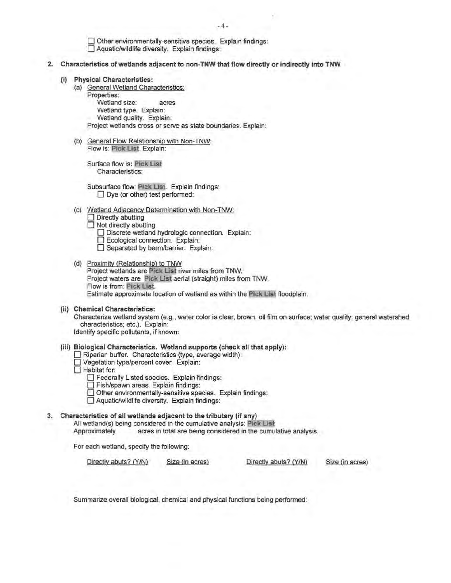D Other environmentally-sensitive species. Explain findings:  $\Box$  Aquatic/wildlife diversity. Explain findings:

- 2. Characteristics of wetlands adjacent to non-TNW that flow directly or indirectly into TNW
	- (i) Physical Characteristics:
		- (a) General Wetland Characteristics:
			- Properties:

Wetland size: acres

Wetland type. Explain:

Wetland quality. Explain:

Project wetlands cross or serve as state boundaries. Explain:

(b) General Flow Relationship with Non-TNW: Flow is: Pick list. Explain:

Surface flow is: Pick List Characteristics:

Subsurface flow: Pick List. Explain findings: D Dye (or other) test performed:

(c) Wetland Adjacency Determination with Non-TNW:  $\Box$  Directly abutting

 $\Box$  Not directly abutting

- Discrete wetland hydrologic connection. Explain:
- D Ecological connection. Explain:
- □ Separated by berm/barrier. Explain:
- (d) Proximity (Relationship) to TNW Project wetlands are Pick List river miles from TNW. Project waters are Pick List aerial (straight) miles from TNW. Flow is from: Pick List. Estimate approximate location of wetland as within the Pick List floodplain.
- (ii) Chemical Characteristics: Characterize wetland system (e.g., water color is clear, brown, oil film on surface; water quality; general watershed characteristics; etc.). Explain: Identify specific pollutants, if known:
- (iii) Biological Characteristics. Wetland supports (check all that apply):
	- $\Box$  Riparian buffer. Characteristics (type, average width):
	- Vegetation type/percent cover. Explain:
	- $\Box$  Habitat for:
		- D Federally Listed species. Explain findings: D Fish/spawn areas. Explain findings:
		-
		- D Other environmentally-sensitive species. Explain findings:
		- D Aquatic/wildlife diversity. Explain findings:

### 3. Characteristics of all wetlands adjacent to the tributary (if any)

All wetland(s) being considered in the cumulative analysis: Pick List

Approximately acres in total are being considered in the cumulative analysis.

For each wetland, specify the following:

Directly abuts? (YIN) Size (in acres) Directly abuts? (Y/N} Size (in acres)

Summarize overall biological, chemical and physical functions being performed: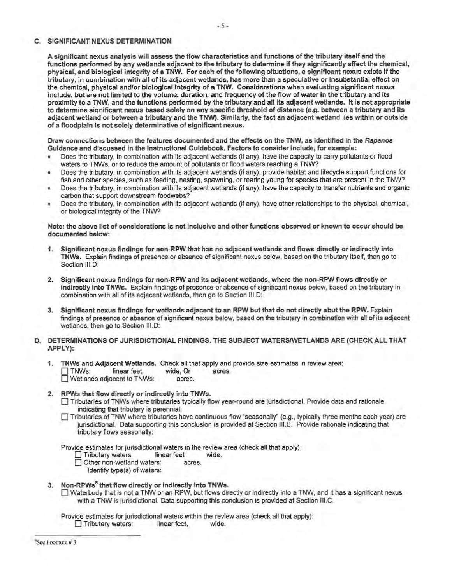#### C. SIGNIFICANT NEXUS DETERMINATION

A significant nexus analysis will assess the flow characteristics and functions of the tributary itself and the functions performed by any wetlands adjacent to the tributary to determine if they significantly affect the chemical, physical, and biological integrity of a TNW. For each of the following situations, a significant nexus exists if the tributary, in combination with all of its adjacent wetlands, has more than a speculative or insubstantial effect on the chemical, physical and/or biological integrity of a TNW. Considerations when evaluating significant nexus include, but are not limited to the volume, duration, and frequency of the flow of water in the tributary and its proximity to a TNW, and the functions performed by the tributary and all its adjacent wetlands. It is not appropriate to detennine significant nexus based solely on any specific threshold of distance (e.g. between a tributary and its adjacent wetland or between a tributary and the TNW). Similarly, the fact an adjacent wetland lies within or outside of a floodplain is not solely detenninative of significant nexus.

Draw connections between the features documented and the effects on the TNW, as identified in the Rapanos Guidance and discussed in the Instructional Guidebook. Factors to consider include, for example:

- Does the tributary, in combination with its adjacent wetlands (if any), have the capacity to carry pollutants or flood waters to TNWs, or to reduce the amount of pollutants or flood waters reaching a TNW?
- Does the tributary, in combination with its adjacent wetlands (if any), provide habitat and lifecycle support functions for fish and other species, such as feeding, nesting, spawning, or rearing young for species that are present in the TNW?
- Does the tributary, in combination with its adjacent wetlands (if any), have the capacity to transfer nutrients and organic carbon that support downstream foodwebs?
- Does the tributary, in combination with its adjacent wetlands (if any), have other relationships to the physical, chemical, or biological integrity of the TNW?

#### Note: the above list of considerations is not inclusive and other functions observed or known to occur should be documented below:

- 1. Significant nexus findings for non-RPW that has no adjacent wetlands and flows directly or indirectly into TNWs. Explain findings of presence or absence of significant nexus below, based on the tributary itself, then go to Section III.D:
- 2. Significant nexus findings for non-RPW and its adjacent wetlands, where the non-RPW flows directly or indirectly into TNWs. Explain findings of presence or absence of significant nexus below, based on the tributary in combination with all of its adjacent wetlands, then go to Section 111.D:
- 3. Significant nexus findings for wetlands adjacent to an RPW but that do not directly abut the RPW. Explain findings of presence or absence of significant nexus below, based on the tributary in combination with all of its adjacent wetlands, then go to Section III.D:

### D. DETERMINATIONS OF JURISDICTIONAL FINDINGS. THE SUBJECT WATERS/WETLANDS ARE (CHECK ALL THAT APPLY):

- 1. **TNWs and Adjacent Wetlands.** Check all that apply and provide size estimates in review area:<br>  $\Box$  TNWs: linear feet. wide. Or acres.
	- TNWs: linear feet, wide, Or acres.
	- $\overline{\Box}$  Wetlands adjacent to TNWs:

### 2. RPWs that flow directly or indirectly into TNWs.

- 0 Tributaries of TNWs where tributaries typically flow year-round are jurisdictional. Provide data and rationale indicating that tributary is perennial:
- □ Tributaries of TNW where tributaries have continuous flow "seasonally" (e.g., typically three months each year) are jurisdictional. Data supporting this conclusion is provided at Section 111.B. Provide rationale indicating that tributary flows seasonally:

Provide estimates for jurisdictional waters in the review area (check all that apply):<br>  $\Box$  Tributary waters: linear feet wide.

- Tributary waters: linear feet wide.
- Other non-wetland waters: acres.
	- Identify type(s) of waters:

### 3. Non-RPWs<sup>8</sup> that flow directly or indirectly into TNWs.

 $\Box$  Waterbody that is not a TNW or an RPW, but flows directly or indirectly into a TNW, and it has a significant nexus with a TNW is jurisdictional. Data supporting this conclusion is provided at Section 111.C.

Provide estimates for jurisdictional waters within the review area (check all that apply): Tributary waters: linear feet, wide.

8 See Footnote# 3.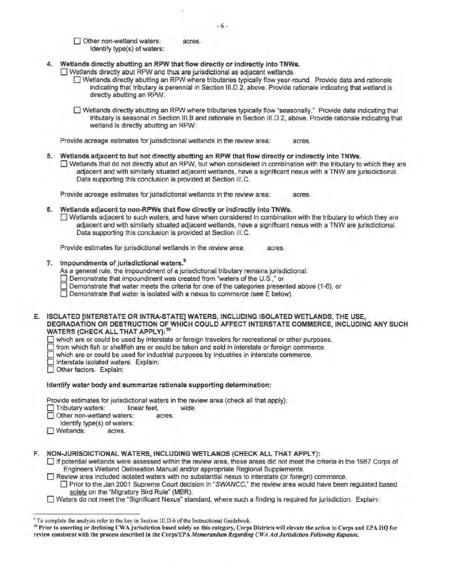Other non-wetland waters: acres. Identify type(s) of waters:

- 4. Wetlands directly abutting an RPW that flow directly or indirectly into TNWs.
	- D Wetlands directly abut RPW and thus are jurisdictional as adjacent wetlands.
		- 0 Wetlands directly abutting an RPW where tributaries typically flow year-round. Provide data and rationale indicating that tributary is perennial in Section 111.D.2, above. Provide rationale indicating that wetland is directly abutting an RPW:

0 Wetlands directly abutting an RPW where tributaries typically flow "seasonally." Provide data indicating that tributary is seasonal in Section 111.B and rationale in Section 111.D.2, above. Provide rationale indicating that wetland is directly abutting an RPW:

Provide acreage estimates for jurisdictional wetlands in the review area: acres.

- 5. Wetlands adjacent to but not directly abutting an RPW that flow directly or indirectly into TNWs.
	- $\Box$  Wetlands that do not directly abut an RPW, but when considered in combination with the tributary to which they are adjacent and with similarly situated adjacent wetlands, have a significant nexus with a TNW are jurisidictional. Data supporting this conclusion is provided at Section 111.C.

Provide acreage estimates for jurisdictional wetlands in the review area: acres.

Wetlands adjacent to non-RPWs that flow directly or indirectly into TNWs. 0 Wetlands adjacent to such waters, and have when considered in combination with the tributary to which they are adjacent and with similarly situated adjacent wetlands, have a significant nexus with a TNW are jurisdictional. Data supporting this conclusion is provided at Section 111.C.

Provide estimates for jurisdictional wetlands in the review area: acres.

7. Impoundments of jurisdictional waters.<sup>9</sup>

As a general rule, the impoundment of a jurisdictional tributary remains jurisdictional.

- □ Demonstrate that impoundment was created from "waters of the U.S.," or
- $\Box$  Demonstrate that water meets the criteria for one of the categories presented above (1-6), or

 $\Box$  Demonstrate that water is isolated with a nexus to commerce (see E below).

E. ISOLATED [INTERSTATE OR INTRA-STATE] WATERS, INCLUDING ISOLATED WETLANDS, THE USE, DEGRADATION OR DESTRUCTION OF WHICH COULD AFFECT INTERSTATE COMMERCE, INCLUDING ANY SUCH WATERS (CHECK ALL THAT APPLY):<sup>10</sup>

 $\Box$  which are or could be used by interstate or foreign travelers for recreational or other purposes.

 $\Box$  from which fish or shellfish are or could be taken and sold in interstate or foreign commerce.

 $\Box$  which are or could be used for industrial purposes by industries in interstate commerce.

Interstate isolated waters. Explain:

Other factors. Explain:

## Identify water body and summarize rationale supporting determination:

Provide estimates for jurisdictional waters in the review area (check all that apply):

0 Tributary waters: linear feet, wide.

Other non-wetland waters: acres.

- Identify type(s) of waters:
- O Wetlands: acres.

F. NON-JURISDICTIONAL WATERS, INCLUDING WETLANDS (CHECK ALL THAT APPLY):

- 0 If potential wetlands were assessed within the review area, these areas did not meet the criteria in the 1987 Corps of Engineers Wetland Delineation Manual and/or appropriate Regional Supplements.
- $\Box$  Review area included isolated waters with no substantial nexus to interstate (or foreign) commerce.

□ Prior to the Jan 2001 Supreme Court decision in "SWANCC," the review area would have been regulated based solely on the "Migratory Bird Rule" {MBR).

0 Waters do not meet the "Significant Nexus" standard, where such a finding is required for jurisdiction. Explain:

<sup>&</sup>lt;sup>9</sup> To complete the analysis refer to the key in Section III.D.6 of the Instructional Guidebook.

<sup>&</sup>lt;sup>10</sup> Prior to asserting or declining CWA jurisdiction based solely on this category, Corps Districts will elevate the action to Corps and EPA HQ for review consistent with the process described in the Corps/EPA Memorandum Regarding CWA Act Jurisdiction Following Rapanos.